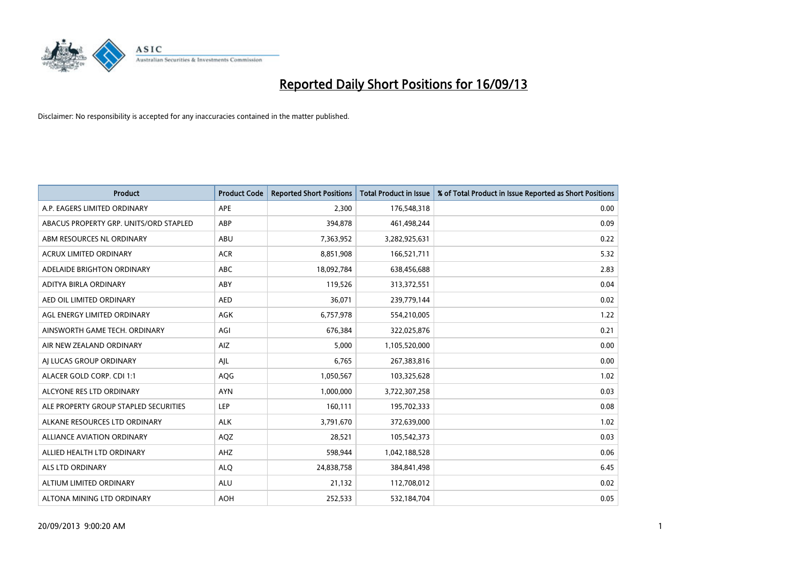

| <b>Product</b>                         | <b>Product Code</b> | <b>Reported Short Positions</b> | <b>Total Product in Issue</b> | % of Total Product in Issue Reported as Short Positions |
|----------------------------------------|---------------------|---------------------------------|-------------------------------|---------------------------------------------------------|
| A.P. EAGERS LIMITED ORDINARY           | APE                 | 2,300                           | 176,548,318                   | 0.00                                                    |
| ABACUS PROPERTY GRP. UNITS/ORD STAPLED | ABP                 | 394,878                         | 461,498,244                   | 0.09                                                    |
| ABM RESOURCES NL ORDINARY              | ABU                 | 7,363,952                       | 3,282,925,631                 | 0.22                                                    |
| ACRUX LIMITED ORDINARY                 | <b>ACR</b>          | 8,851,908                       | 166,521,711                   | 5.32                                                    |
| ADELAIDE BRIGHTON ORDINARY             | <b>ABC</b>          | 18,092,784                      | 638,456,688                   | 2.83                                                    |
| ADITYA BIRLA ORDINARY                  | ABY                 | 119,526                         | 313,372,551                   | 0.04                                                    |
| AED OIL LIMITED ORDINARY               | <b>AED</b>          | 36,071                          | 239,779,144                   | 0.02                                                    |
| AGL ENERGY LIMITED ORDINARY            | AGK                 | 6,757,978                       | 554,210,005                   | 1.22                                                    |
| AINSWORTH GAME TECH. ORDINARY          | AGI                 | 676,384                         | 322,025,876                   | 0.21                                                    |
| AIR NEW ZEALAND ORDINARY               | <b>AIZ</b>          | 5,000                           | 1,105,520,000                 | 0.00                                                    |
| AI LUCAS GROUP ORDINARY                | AJL                 | 6,765                           | 267,383,816                   | 0.00                                                    |
| ALACER GOLD CORP. CDI 1:1              | AQG                 | 1,050,567                       | 103,325,628                   | 1.02                                                    |
| ALCYONE RES LTD ORDINARY               | <b>AYN</b>          | 1,000,000                       | 3,722,307,258                 | 0.03                                                    |
| ALE PROPERTY GROUP STAPLED SECURITIES  | LEP                 | 160,111                         | 195,702,333                   | 0.08                                                    |
| ALKANE RESOURCES LTD ORDINARY          | <b>ALK</b>          | 3,791,670                       | 372,639,000                   | 1.02                                                    |
| ALLIANCE AVIATION ORDINARY             | AQZ                 | 28,521                          | 105,542,373                   | 0.03                                                    |
| ALLIED HEALTH LTD ORDINARY             | AHZ                 | 598,944                         | 1,042,188,528                 | 0.06                                                    |
| <b>ALS LTD ORDINARY</b>                | <b>ALQ</b>          | 24,838,758                      | 384, 841, 498                 | 6.45                                                    |
| ALTIUM LIMITED ORDINARY                | <b>ALU</b>          | 21,132                          | 112,708,012                   | 0.02                                                    |
| ALTONA MINING LTD ORDINARY             | <b>AOH</b>          | 252,533                         | 532,184,704                   | 0.05                                                    |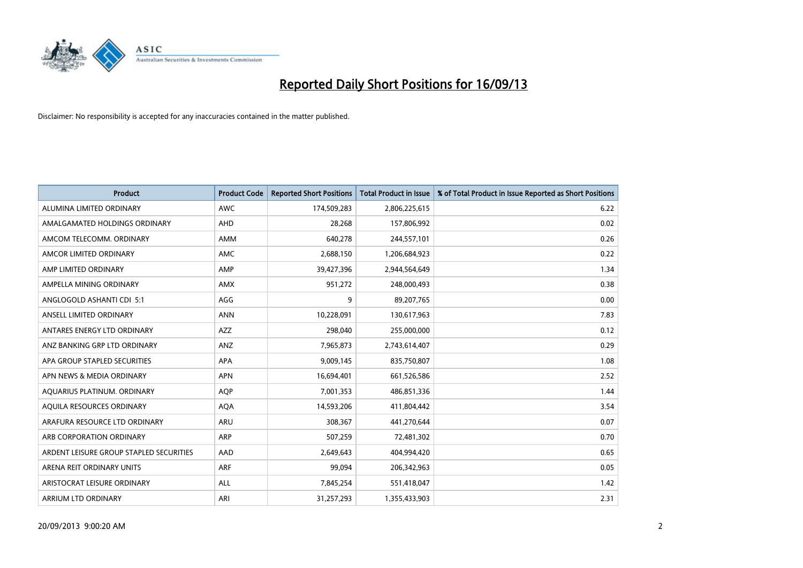

| <b>Product</b>                          | <b>Product Code</b> | <b>Reported Short Positions</b> | <b>Total Product in Issue</b> | % of Total Product in Issue Reported as Short Positions |
|-----------------------------------------|---------------------|---------------------------------|-------------------------------|---------------------------------------------------------|
| ALUMINA LIMITED ORDINARY                | <b>AWC</b>          | 174,509,283                     | 2,806,225,615                 | 6.22                                                    |
| AMALGAMATED HOLDINGS ORDINARY           | AHD                 | 28,268                          | 157,806,992                   | 0.02                                                    |
| AMCOM TELECOMM, ORDINARY                | AMM                 | 640,278                         | 244,557,101                   | 0.26                                                    |
| AMCOR LIMITED ORDINARY                  | AMC                 | 2,688,150                       | 1,206,684,923                 | 0.22                                                    |
| AMP LIMITED ORDINARY                    | AMP                 | 39,427,396                      | 2,944,564,649                 | 1.34                                                    |
| AMPELLA MINING ORDINARY                 | <b>AMX</b>          | 951,272                         | 248,000,493                   | 0.38                                                    |
| ANGLOGOLD ASHANTI CDI 5:1               | AGG                 | 9                               | 89,207,765                    | 0.00                                                    |
| ANSELL LIMITED ORDINARY                 | <b>ANN</b>          | 10,228,091                      | 130,617,963                   | 7.83                                                    |
| ANTARES ENERGY LTD ORDINARY             | <b>AZZ</b>          | 298,040                         | 255,000,000                   | 0.12                                                    |
| ANZ BANKING GRP LTD ORDINARY            | ANZ                 | 7,965,873                       | 2,743,614,407                 | 0.29                                                    |
| APA GROUP STAPLED SECURITIES            | APA                 | 9,009,145                       | 835,750,807                   | 1.08                                                    |
| APN NEWS & MEDIA ORDINARY               | <b>APN</b>          | 16,694,401                      | 661,526,586                   | 2.52                                                    |
| AQUARIUS PLATINUM. ORDINARY             | <b>AOP</b>          | 7,001,353                       | 486,851,336                   | 1.44                                                    |
| AQUILA RESOURCES ORDINARY               | <b>AQA</b>          | 14,593,206                      | 411,804,442                   | 3.54                                                    |
| ARAFURA RESOURCE LTD ORDINARY           | <b>ARU</b>          | 308,367                         | 441,270,644                   | 0.07                                                    |
| ARB CORPORATION ORDINARY                | ARP                 | 507,259                         | 72,481,302                    | 0.70                                                    |
| ARDENT LEISURE GROUP STAPLED SECURITIES | AAD                 | 2,649,643                       | 404,994,420                   | 0.65                                                    |
| ARENA REIT ORDINARY UNITS               | <b>ARF</b>          | 99,094                          | 206,342,963                   | 0.05                                                    |
| ARISTOCRAT LEISURE ORDINARY             | ALL                 | 7,845,254                       | 551,418,047                   | 1.42                                                    |
| ARRIUM LTD ORDINARY                     | ARI                 | 31,257,293                      | 1,355,433,903                 | 2.31                                                    |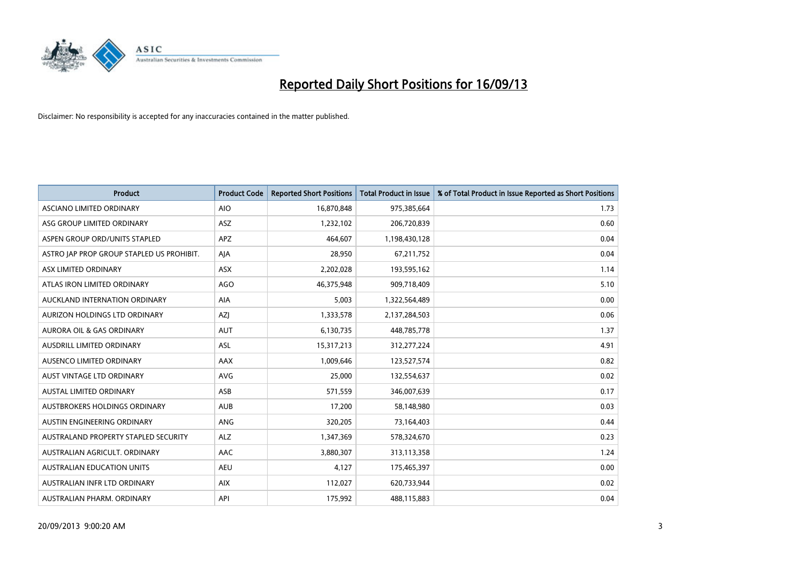

| <b>Product</b>                            | <b>Product Code</b> | <b>Reported Short Positions</b> | <b>Total Product in Issue</b> | % of Total Product in Issue Reported as Short Positions |
|-------------------------------------------|---------------------|---------------------------------|-------------------------------|---------------------------------------------------------|
| ASCIANO LIMITED ORDINARY                  | <b>AIO</b>          | 16,870,848                      | 975,385,664                   | 1.73                                                    |
| ASG GROUP LIMITED ORDINARY                | ASZ                 | 1,232,102                       | 206,720,839                   | 0.60                                                    |
| ASPEN GROUP ORD/UNITS STAPLED             | <b>APZ</b>          | 464,607                         | 1,198,430,128                 | 0.04                                                    |
| ASTRO JAP PROP GROUP STAPLED US PROHIBIT. | AJA                 | 28,950                          | 67,211,752                    | 0.04                                                    |
| ASX LIMITED ORDINARY                      | ASX                 | 2,202,028                       | 193,595,162                   | 1.14                                                    |
| ATLAS IRON LIMITED ORDINARY               | <b>AGO</b>          | 46,375,948                      | 909,718,409                   | 5.10                                                    |
| AUCKLAND INTERNATION ORDINARY             | AIA                 | 5,003                           | 1,322,564,489                 | 0.00                                                    |
| AURIZON HOLDINGS LTD ORDINARY             | AZJ                 | 1,333,578                       | 2,137,284,503                 | 0.06                                                    |
| <b>AURORA OIL &amp; GAS ORDINARY</b>      | <b>AUT</b>          | 6,130,735                       | 448,785,778                   | 1.37                                                    |
| AUSDRILL LIMITED ORDINARY                 | <b>ASL</b>          | 15,317,213                      | 312,277,224                   | 4.91                                                    |
| AUSENCO LIMITED ORDINARY                  | AAX                 | 1,009,646                       | 123,527,574                   | 0.82                                                    |
| AUST VINTAGE LTD ORDINARY                 | <b>AVG</b>          | 25,000                          | 132,554,637                   | 0.02                                                    |
| <b>AUSTAL LIMITED ORDINARY</b>            | ASB                 | 571,559                         | 346,007,639                   | 0.17                                                    |
| AUSTBROKERS HOLDINGS ORDINARY             | <b>AUB</b>          | 17,200                          | 58,148,980                    | 0.03                                                    |
| AUSTIN ENGINEERING ORDINARY               | ANG                 | 320,205                         | 73,164,403                    | 0.44                                                    |
| AUSTRALAND PROPERTY STAPLED SECURITY      | <b>ALZ</b>          | 1,347,369                       | 578,324,670                   | 0.23                                                    |
| AUSTRALIAN AGRICULT. ORDINARY             | AAC                 | 3,880,307                       | 313,113,358                   | 1.24                                                    |
| AUSTRALIAN EDUCATION UNITS                | <b>AEU</b>          | 4,127                           | 175,465,397                   | 0.00                                                    |
| AUSTRALIAN INFR LTD ORDINARY              | <b>AIX</b>          | 112,027                         | 620,733,944                   | 0.02                                                    |
| AUSTRALIAN PHARM. ORDINARY                | API                 | 175,992                         | 488,115,883                   | 0.04                                                    |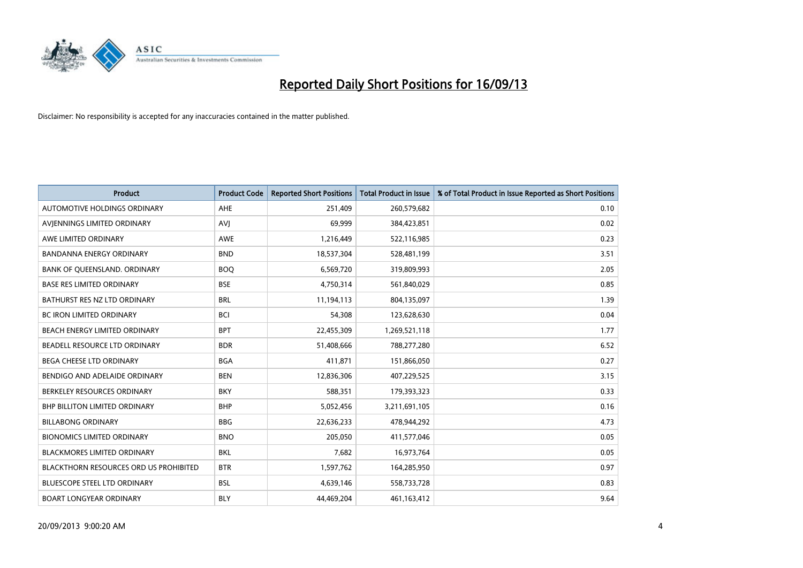

| <b>Product</b>                                | <b>Product Code</b> | <b>Reported Short Positions</b> | <b>Total Product in Issue</b> | % of Total Product in Issue Reported as Short Positions |
|-----------------------------------------------|---------------------|---------------------------------|-------------------------------|---------------------------------------------------------|
| AUTOMOTIVE HOLDINGS ORDINARY                  | AHE                 | 251,409                         | 260,579,682                   | 0.10                                                    |
| AVJENNINGS LIMITED ORDINARY                   | <b>AVJ</b>          | 69,999                          | 384,423,851                   | 0.02                                                    |
| AWE LIMITED ORDINARY                          | <b>AWE</b>          | 1,216,449                       | 522,116,985                   | 0.23                                                    |
| <b>BANDANNA ENERGY ORDINARY</b>               | <b>BND</b>          | 18,537,304                      | 528,481,199                   | 3.51                                                    |
| BANK OF QUEENSLAND. ORDINARY                  | <b>BOQ</b>          | 6,569,720                       | 319,809,993                   | 2.05                                                    |
| <b>BASE RES LIMITED ORDINARY</b>              | <b>BSE</b>          | 4,750,314                       | 561,840,029                   | 0.85                                                    |
| BATHURST RES NZ LTD ORDINARY                  | <b>BRL</b>          | 11,194,113                      | 804,135,097                   | 1.39                                                    |
| BC IRON LIMITED ORDINARY                      | <b>BCI</b>          | 54,308                          | 123,628,630                   | 0.04                                                    |
| BEACH ENERGY LIMITED ORDINARY                 | <b>BPT</b>          | 22,455,309                      | 1,269,521,118                 | 1.77                                                    |
| <b>BEADELL RESOURCE LTD ORDINARY</b>          | <b>BDR</b>          | 51,408,666                      | 788,277,280                   | 6.52                                                    |
| BEGA CHEESE LTD ORDINARY                      | <b>BGA</b>          | 411,871                         | 151,866,050                   | 0.27                                                    |
| BENDIGO AND ADELAIDE ORDINARY                 | <b>BEN</b>          | 12,836,306                      | 407,229,525                   | 3.15                                                    |
| BERKELEY RESOURCES ORDINARY                   | <b>BKY</b>          | 588,351                         | 179,393,323                   | 0.33                                                    |
| <b>BHP BILLITON LIMITED ORDINARY</b>          | <b>BHP</b>          | 5,052,456                       | 3,211,691,105                 | 0.16                                                    |
| <b>BILLABONG ORDINARY</b>                     | <b>BBG</b>          | 22,636,233                      | 478,944,292                   | 4.73                                                    |
| <b>BIONOMICS LIMITED ORDINARY</b>             | <b>BNO</b>          | 205,050                         | 411,577,046                   | 0.05                                                    |
| BLACKMORES LIMITED ORDINARY                   | <b>BKL</b>          | 7,682                           | 16,973,764                    | 0.05                                                    |
| <b>BLACKTHORN RESOURCES ORD US PROHIBITED</b> | <b>BTR</b>          | 1,597,762                       | 164,285,950                   | 0.97                                                    |
| <b>BLUESCOPE STEEL LTD ORDINARY</b>           | <b>BSL</b>          | 4,639,146                       | 558,733,728                   | 0.83                                                    |
| <b>BOART LONGYEAR ORDINARY</b>                | BLY                 | 44,469,204                      | 461,163,412                   | 9.64                                                    |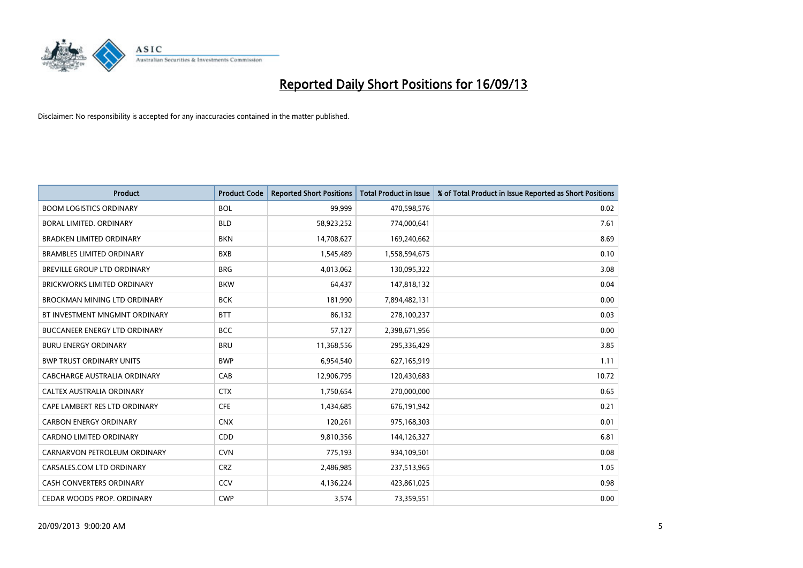

| <b>Product</b>                       | <b>Product Code</b> | <b>Reported Short Positions</b> | <b>Total Product in Issue</b> | % of Total Product in Issue Reported as Short Positions |
|--------------------------------------|---------------------|---------------------------------|-------------------------------|---------------------------------------------------------|
| <b>BOOM LOGISTICS ORDINARY</b>       | <b>BOL</b>          | 99,999                          | 470,598,576                   | 0.02                                                    |
| <b>BORAL LIMITED, ORDINARY</b>       | <b>BLD</b>          | 58,923,252                      | 774,000,641                   | 7.61                                                    |
| <b>BRADKEN LIMITED ORDINARY</b>      | <b>BKN</b>          | 14,708,627                      | 169,240,662                   | 8.69                                                    |
| <b>BRAMBLES LIMITED ORDINARY</b>     | <b>BXB</b>          | 1,545,489                       | 1,558,594,675                 | 0.10                                                    |
| BREVILLE GROUP LTD ORDINARY          | <b>BRG</b>          | 4,013,062                       | 130,095,322                   | 3.08                                                    |
| BRICKWORKS LIMITED ORDINARY          | <b>BKW</b>          | 64,437                          | 147,818,132                   | 0.04                                                    |
| <b>BROCKMAN MINING LTD ORDINARY</b>  | <b>BCK</b>          | 181,990                         | 7,894,482,131                 | 0.00                                                    |
| BT INVESTMENT MNGMNT ORDINARY        | <b>BTT</b>          | 86,132                          | 278,100,237                   | 0.03                                                    |
| <b>BUCCANEER ENERGY LTD ORDINARY</b> | <b>BCC</b>          | 57,127                          | 2,398,671,956                 | 0.00                                                    |
| <b>BURU ENERGY ORDINARY</b>          | <b>BRU</b>          | 11,368,556                      | 295,336,429                   | 3.85                                                    |
| <b>BWP TRUST ORDINARY UNITS</b>      | <b>BWP</b>          | 6,954,540                       | 627,165,919                   | 1.11                                                    |
| CABCHARGE AUSTRALIA ORDINARY         | CAB                 | 12,906,795                      | 120,430,683                   | 10.72                                                   |
| CALTEX AUSTRALIA ORDINARY            | <b>CTX</b>          | 1,750,654                       | 270,000,000                   | 0.65                                                    |
| CAPE LAMBERT RES LTD ORDINARY        | <b>CFE</b>          | 1,434,685                       | 676,191,942                   | 0.21                                                    |
| <b>CARBON ENERGY ORDINARY</b>        | <b>CNX</b>          | 120,261                         | 975,168,303                   | 0.01                                                    |
| <b>CARDNO LIMITED ORDINARY</b>       | CDD                 | 9,810,356                       | 144,126,327                   | 6.81                                                    |
| CARNARVON PETROLEUM ORDINARY         | <b>CVN</b>          | 775,193                         | 934,109,501                   | 0.08                                                    |
| CARSALES.COM LTD ORDINARY            | <b>CRZ</b>          | 2,486,985                       | 237,513,965                   | 1.05                                                    |
| <b>CASH CONVERTERS ORDINARY</b>      | CCV                 | 4,136,224                       | 423,861,025                   | 0.98                                                    |
| CEDAR WOODS PROP. ORDINARY           | <b>CWP</b>          | 3,574                           | 73,359,551                    | 0.00                                                    |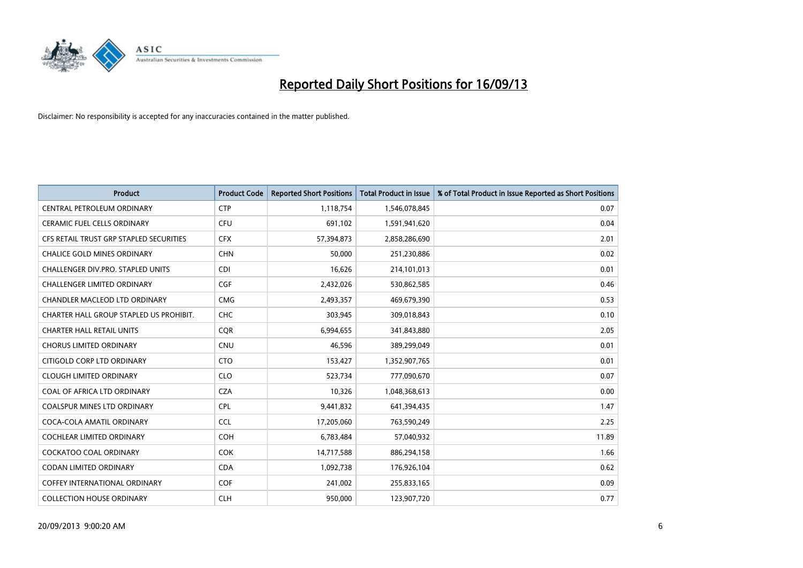

| <b>Product</b>                          | <b>Product Code</b> | <b>Reported Short Positions</b> | <b>Total Product in Issue</b> | % of Total Product in Issue Reported as Short Positions |
|-----------------------------------------|---------------------|---------------------------------|-------------------------------|---------------------------------------------------------|
| <b>CENTRAL PETROLEUM ORDINARY</b>       | <b>CTP</b>          | 1,118,754                       | 1,546,078,845                 | 0.07                                                    |
| CERAMIC FUEL CELLS ORDINARY             | <b>CFU</b>          | 691,102                         | 1,591,941,620                 | 0.04                                                    |
| CFS RETAIL TRUST GRP STAPLED SECURITIES | <b>CFX</b>          | 57,394,873                      | 2,858,286,690                 | 2.01                                                    |
| <b>CHALICE GOLD MINES ORDINARY</b>      | <b>CHN</b>          | 50,000                          | 251,230,886                   | 0.02                                                    |
| CHALLENGER DIV.PRO. STAPLED UNITS       | <b>CDI</b>          | 16,626                          | 214,101,013                   | 0.01                                                    |
| <b>CHALLENGER LIMITED ORDINARY</b>      | <b>CGF</b>          | 2,432,026                       | 530,862,585                   | 0.46                                                    |
| CHANDLER MACLEOD LTD ORDINARY           | <b>CMG</b>          | 2,493,357                       | 469,679,390                   | 0.53                                                    |
| CHARTER HALL GROUP STAPLED US PROHIBIT. | <b>CHC</b>          | 303,945                         | 309,018,843                   | 0.10                                                    |
| <b>CHARTER HALL RETAIL UNITS</b>        | <b>CQR</b>          | 6,994,655                       | 341,843,880                   | 2.05                                                    |
| <b>CHORUS LIMITED ORDINARY</b>          | <b>CNU</b>          | 46,596                          | 389,299,049                   | 0.01                                                    |
| CITIGOLD CORP LTD ORDINARY              | <b>CTO</b>          | 153,427                         | 1,352,907,765                 | 0.01                                                    |
| <b>CLOUGH LIMITED ORDINARY</b>          | <b>CLO</b>          | 523,734                         | 777,090,670                   | 0.07                                                    |
| COAL OF AFRICA LTD ORDINARY             | <b>CZA</b>          | 10,326                          | 1,048,368,613                 | 0.00                                                    |
| <b>COALSPUR MINES LTD ORDINARY</b>      | <b>CPL</b>          | 9,441,832                       | 641,394,435                   | 1.47                                                    |
| COCA-COLA AMATIL ORDINARY               | <b>CCL</b>          | 17,205,060                      | 763,590,249                   | 2.25                                                    |
| COCHLEAR LIMITED ORDINARY               | <b>COH</b>          | 6,783,484                       | 57,040,932                    | 11.89                                                   |
| COCKATOO COAL ORDINARY                  | COK                 | 14,717,588                      | 886,294,158                   | 1.66                                                    |
| <b>CODAN LIMITED ORDINARY</b>           | <b>CDA</b>          | 1,092,738                       | 176,926,104                   | 0.62                                                    |
| <b>COFFEY INTERNATIONAL ORDINARY</b>    | <b>COF</b>          | 241,002                         | 255,833,165                   | 0.09                                                    |
| <b>COLLECTION HOUSE ORDINARY</b>        | <b>CLH</b>          | 950,000                         | 123,907,720                   | 0.77                                                    |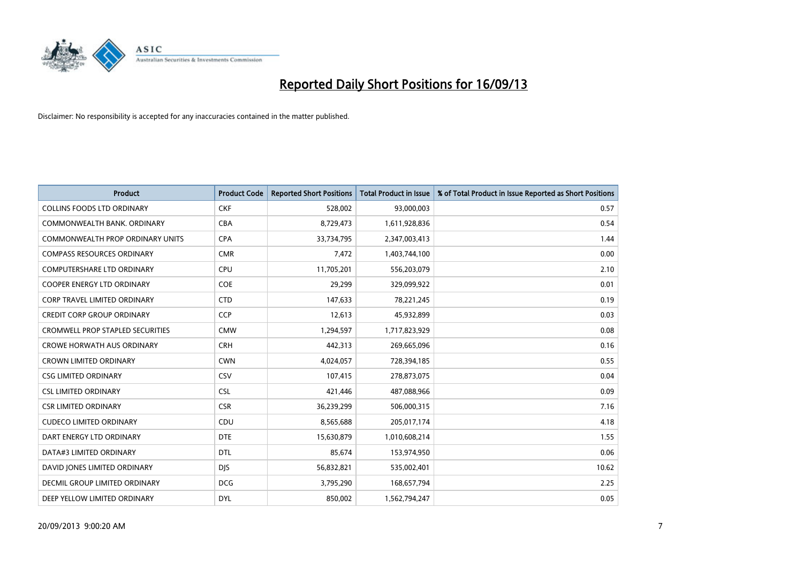

| <b>Product</b>                          | <b>Product Code</b> | <b>Reported Short Positions</b> | <b>Total Product in Issue</b> | % of Total Product in Issue Reported as Short Positions |
|-----------------------------------------|---------------------|---------------------------------|-------------------------------|---------------------------------------------------------|
| <b>COLLINS FOODS LTD ORDINARY</b>       | <b>CKF</b>          | 528,002                         | 93,000,003                    | 0.57                                                    |
| COMMONWEALTH BANK, ORDINARY             | <b>CBA</b>          | 8,729,473                       | 1,611,928,836                 | 0.54                                                    |
| <b>COMMONWEALTH PROP ORDINARY UNITS</b> | <b>CPA</b>          | 33,734,795                      | 2,347,003,413                 | 1.44                                                    |
| <b>COMPASS RESOURCES ORDINARY</b>       | <b>CMR</b>          | 7,472                           | 1,403,744,100                 | 0.00                                                    |
| <b>COMPUTERSHARE LTD ORDINARY</b>       | <b>CPU</b>          | 11,705,201                      | 556,203,079                   | 2.10                                                    |
| <b>COOPER ENERGY LTD ORDINARY</b>       | <b>COE</b>          | 29,299                          | 329,099,922                   | 0.01                                                    |
| <b>CORP TRAVEL LIMITED ORDINARY</b>     | <b>CTD</b>          | 147,633                         | 78,221,245                    | 0.19                                                    |
| <b>CREDIT CORP GROUP ORDINARY</b>       | <b>CCP</b>          | 12,613                          | 45,932,899                    | 0.03                                                    |
| <b>CROMWELL PROP STAPLED SECURITIES</b> | <b>CMW</b>          | 1,294,597                       | 1,717,823,929                 | 0.08                                                    |
| <b>CROWE HORWATH AUS ORDINARY</b>       | <b>CRH</b>          | 442,313                         | 269,665,096                   | 0.16                                                    |
| <b>CROWN LIMITED ORDINARY</b>           | <b>CWN</b>          | 4,024,057                       | 728,394,185                   | 0.55                                                    |
| <b>CSG LIMITED ORDINARY</b>             | <b>CSV</b>          | 107,415                         | 278,873,075                   | 0.04                                                    |
| <b>CSL LIMITED ORDINARY</b>             | <b>CSL</b>          | 421,446                         | 487,088,966                   | 0.09                                                    |
| <b>CSR LIMITED ORDINARY</b>             | <b>CSR</b>          | 36,239,299                      | 506,000,315                   | 7.16                                                    |
| <b>CUDECO LIMITED ORDINARY</b>          | CDU                 | 8,565,688                       | 205,017,174                   | 4.18                                                    |
| DART ENERGY LTD ORDINARY                | <b>DTE</b>          | 15,630,879                      | 1,010,608,214                 | 1.55                                                    |
| DATA#3 LIMITED ORDINARY                 | <b>DTL</b>          | 85,674                          | 153,974,950                   | 0.06                                                    |
| DAVID JONES LIMITED ORDINARY            | <b>DJS</b>          | 56,832,821                      | 535,002,401                   | 10.62                                                   |
| DECMIL GROUP LIMITED ORDINARY           | <b>DCG</b>          | 3,795,290                       | 168,657,794                   | 2.25                                                    |
| DEEP YELLOW LIMITED ORDINARY            | <b>DYL</b>          | 850,002                         | 1,562,794,247                 | 0.05                                                    |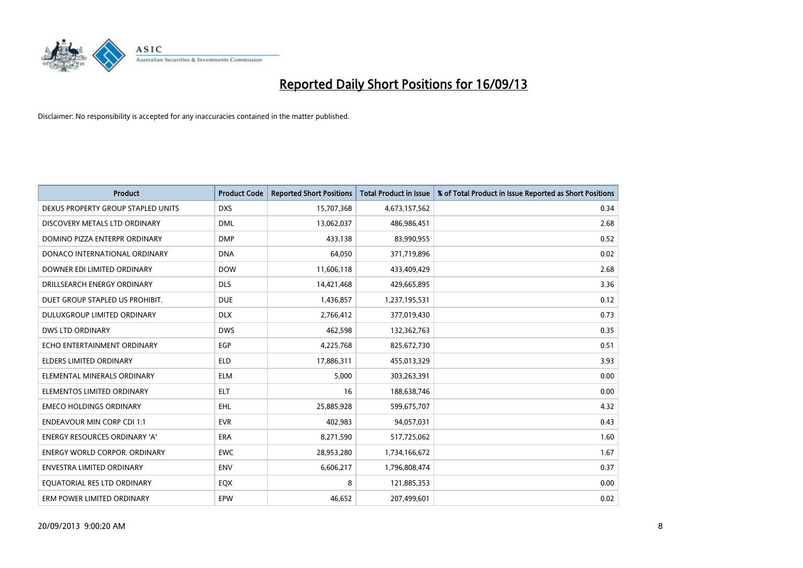

| <b>Product</b>                     | <b>Product Code</b> | <b>Reported Short Positions</b> | <b>Total Product in Issue</b> | % of Total Product in Issue Reported as Short Positions |
|------------------------------------|---------------------|---------------------------------|-------------------------------|---------------------------------------------------------|
| DEXUS PROPERTY GROUP STAPLED UNITS | <b>DXS</b>          | 15,707,368                      | 4,673,157,562                 | 0.34                                                    |
| DISCOVERY METALS LTD ORDINARY      | <b>DML</b>          | 13,062,037                      | 486,986,451                   | 2.68                                                    |
| DOMINO PIZZA ENTERPR ORDINARY      | <b>DMP</b>          | 433,138                         | 83,990,955                    | 0.52                                                    |
| DONACO INTERNATIONAL ORDINARY      | <b>DNA</b>          | 64,050                          | 371,719,896                   | 0.02                                                    |
| DOWNER EDI LIMITED ORDINARY        | <b>DOW</b>          | 11,606,118                      | 433,409,429                   | 2.68                                                    |
| DRILLSEARCH ENERGY ORDINARY        | <b>DLS</b>          | 14,421,468                      | 429,665,895                   | 3.36                                                    |
| DUET GROUP STAPLED US PROHIBIT.    | <b>DUE</b>          | 1,436,857                       | 1,237,195,531                 | 0.12                                                    |
| DULUXGROUP LIMITED ORDINARY        | <b>DLX</b>          | 2,766,412                       | 377,019,430                   | 0.73                                                    |
| <b>DWS LTD ORDINARY</b>            | <b>DWS</b>          | 462,598                         | 132,362,763                   | 0.35                                                    |
| ECHO ENTERTAINMENT ORDINARY        | <b>EGP</b>          | 4,225,768                       | 825,672,730                   | 0.51                                                    |
| <b>ELDERS LIMITED ORDINARY</b>     | <b>ELD</b>          | 17,886,311                      | 455,013,329                   | 3.93                                                    |
| ELEMENTAL MINERALS ORDINARY        | <b>ELM</b>          | 5,000                           | 303,263,391                   | 0.00                                                    |
| ELEMENTOS LIMITED ORDINARY         | <b>ELT</b>          | 16                              | 188,638,746                   | 0.00                                                    |
| <b>EMECO HOLDINGS ORDINARY</b>     | <b>EHL</b>          | 25,885,928                      | 599,675,707                   | 4.32                                                    |
| <b>ENDEAVOUR MIN CORP CDI 1:1</b>  | <b>EVR</b>          | 402,983                         | 94,057,031                    | 0.43                                                    |
| ENERGY RESOURCES ORDINARY 'A'      | ERA                 | 8,271,590                       | 517,725,062                   | 1.60                                                    |
| ENERGY WORLD CORPOR. ORDINARY      | <b>EWC</b>          | 28,953,280                      | 1,734,166,672                 | 1.67                                                    |
| <b>ENVESTRA LIMITED ORDINARY</b>   | <b>ENV</b>          | 6,606,217                       | 1,796,808,474                 | 0.37                                                    |
| EQUATORIAL RES LTD ORDINARY        | EQX                 | 8                               | 121,885,353                   | 0.00                                                    |
| ERM POWER LIMITED ORDINARY         | <b>EPW</b>          | 46,652                          | 207,499,601                   | 0.02                                                    |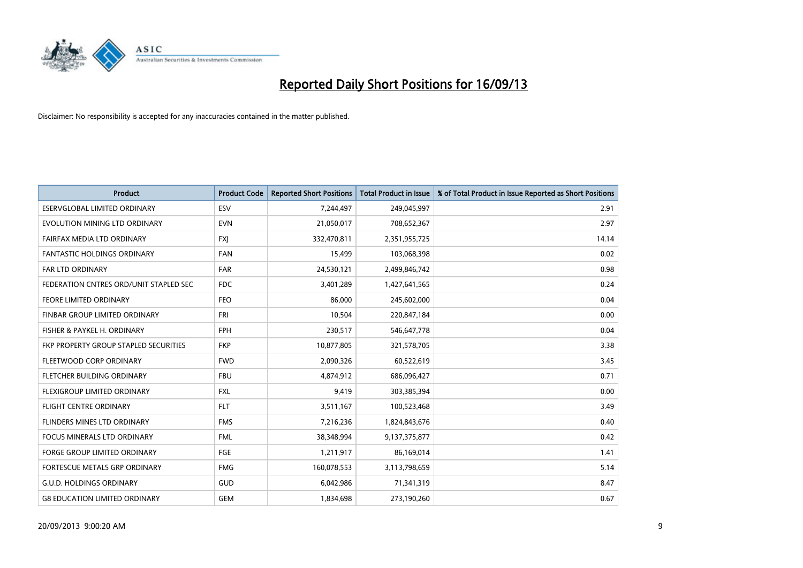

| <b>Product</b>                         | <b>Product Code</b> | <b>Reported Short Positions</b> | <b>Total Product in Issue</b> | % of Total Product in Issue Reported as Short Positions |
|----------------------------------------|---------------------|---------------------------------|-------------------------------|---------------------------------------------------------|
| <b>ESERVGLOBAL LIMITED ORDINARY</b>    | ESV                 | 7,244,497                       | 249,045,997                   | 2.91                                                    |
| EVOLUTION MINING LTD ORDINARY          | <b>EVN</b>          | 21,050,017                      | 708,652,367                   | 2.97                                                    |
| FAIRFAX MEDIA LTD ORDINARY             | <b>FXI</b>          | 332,470,811                     | 2,351,955,725                 | 14.14                                                   |
| <b>FANTASTIC HOLDINGS ORDINARY</b>     | <b>FAN</b>          | 15,499                          | 103,068,398                   | 0.02                                                    |
| <b>FAR LTD ORDINARY</b>                | FAR                 | 24,530,121                      | 2,499,846,742                 | 0.98                                                    |
| FEDERATION CNTRES ORD/UNIT STAPLED SEC | <b>FDC</b>          | 3,401,289                       | 1,427,641,565                 | 0.24                                                    |
| <b>FEORE LIMITED ORDINARY</b>          | <b>FEO</b>          | 86,000                          | 245,602,000                   | 0.04                                                    |
| FINBAR GROUP LIMITED ORDINARY          | <b>FRI</b>          | 10,504                          | 220,847,184                   | 0.00                                                    |
| FISHER & PAYKEL H. ORDINARY            | <b>FPH</b>          | 230,517                         | 546,647,778                   | 0.04                                                    |
| FKP PROPERTY GROUP STAPLED SECURITIES  | <b>FKP</b>          | 10,877,805                      | 321,578,705                   | 3.38                                                    |
| FLEETWOOD CORP ORDINARY                | <b>FWD</b>          | 2,090,326                       | 60,522,619                    | 3.45                                                    |
| FLETCHER BUILDING ORDINARY             | <b>FBU</b>          | 4,874,912                       | 686,096,427                   | 0.71                                                    |
| FLEXIGROUP LIMITED ORDINARY            | FXL                 | 9,419                           | 303,385,394                   | 0.00                                                    |
| <b>FLIGHT CENTRE ORDINARY</b>          | <b>FLT</b>          | 3,511,167                       | 100,523,468                   | 3.49                                                    |
| FLINDERS MINES LTD ORDINARY            | <b>FMS</b>          | 7,216,236                       | 1,824,843,676                 | 0.40                                                    |
| <b>FOCUS MINERALS LTD ORDINARY</b>     | <b>FML</b>          | 38,348,994                      | 9,137,375,877                 | 0.42                                                    |
| <b>FORGE GROUP LIMITED ORDINARY</b>    | FGE                 | 1,211,917                       | 86,169,014                    | 1.41                                                    |
| FORTESCUE METALS GRP ORDINARY          | <b>FMG</b>          | 160,078,553                     | 3,113,798,659                 | 5.14                                                    |
| <b>G.U.D. HOLDINGS ORDINARY</b>        | <b>GUD</b>          | 6,042,986                       | 71,341,319                    | 8.47                                                    |
| <b>G8 EDUCATION LIMITED ORDINARY</b>   | <b>GEM</b>          | 1,834,698                       | 273,190,260                   | 0.67                                                    |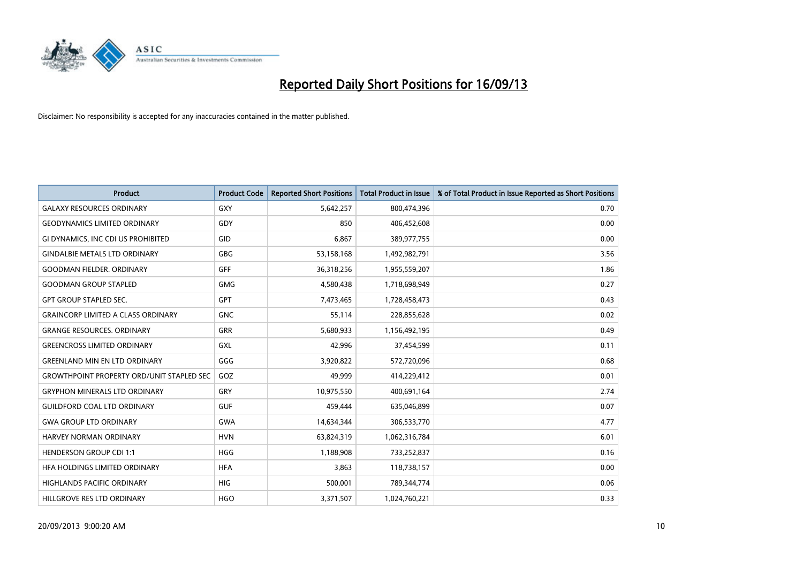

| <b>Product</b>                                   | <b>Product Code</b> | <b>Reported Short Positions</b> | <b>Total Product in Issue</b> | % of Total Product in Issue Reported as Short Positions |
|--------------------------------------------------|---------------------|---------------------------------|-------------------------------|---------------------------------------------------------|
| <b>GALAXY RESOURCES ORDINARY</b>                 | <b>GXY</b>          | 5,642,257                       | 800,474,396                   | 0.70                                                    |
| <b>GEODYNAMICS LIMITED ORDINARY</b>              | GDY                 | 850                             | 406,452,608                   | 0.00                                                    |
| GI DYNAMICS, INC CDI US PROHIBITED               | <b>GID</b>          | 6,867                           | 389,977,755                   | 0.00                                                    |
| <b>GINDALBIE METALS LTD ORDINARY</b>             | <b>GBG</b>          | 53,158,168                      | 1,492,982,791                 | 3.56                                                    |
| <b>GOODMAN FIELDER, ORDINARY</b>                 | <b>GFF</b>          | 36,318,256                      | 1,955,559,207                 | 1.86                                                    |
| <b>GOODMAN GROUP STAPLED</b>                     | <b>GMG</b>          | 4,580,438                       | 1,718,698,949                 | 0.27                                                    |
| <b>GPT GROUP STAPLED SEC.</b>                    | GPT                 | 7,473,465                       | 1,728,458,473                 | 0.43                                                    |
| <b>GRAINCORP LIMITED A CLASS ORDINARY</b>        | <b>GNC</b>          | 55,114                          | 228,855,628                   | 0.02                                                    |
| <b>GRANGE RESOURCES, ORDINARY</b>                | <b>GRR</b>          | 5,680,933                       | 1,156,492,195                 | 0.49                                                    |
| <b>GREENCROSS LIMITED ORDINARY</b>               | <b>GXL</b>          | 42,996                          | 37,454,599                    | 0.11                                                    |
| <b>GREENLAND MIN EN LTD ORDINARY</b>             | GGG                 | 3,920,822                       | 572,720,096                   | 0.68                                                    |
| <b>GROWTHPOINT PROPERTY ORD/UNIT STAPLED SEC</b> | GOZ                 | 49,999                          | 414,229,412                   | 0.01                                                    |
| <b>GRYPHON MINERALS LTD ORDINARY</b>             | GRY                 | 10,975,550                      | 400,691,164                   | 2.74                                                    |
| <b>GUILDFORD COAL LTD ORDINARY</b>               | <b>GUF</b>          | 459,444                         | 635,046,899                   | 0.07                                                    |
| <b>GWA GROUP LTD ORDINARY</b>                    | <b>GWA</b>          | 14,634,344                      | 306,533,770                   | 4.77                                                    |
| HARVEY NORMAN ORDINARY                           | <b>HVN</b>          | 63,824,319                      | 1,062,316,784                 | 6.01                                                    |
| <b>HENDERSON GROUP CDI 1:1</b>                   | <b>HGG</b>          | 1,188,908                       | 733,252,837                   | 0.16                                                    |
| HFA HOLDINGS LIMITED ORDINARY                    | <b>HFA</b>          | 3,863                           | 118,738,157                   | 0.00                                                    |
| <b>HIGHLANDS PACIFIC ORDINARY</b>                | <b>HIG</b>          | 500,001                         | 789,344,774                   | 0.06                                                    |
| HILLGROVE RES LTD ORDINARY                       | <b>HGO</b>          | 3,371,507                       | 1,024,760,221                 | 0.33                                                    |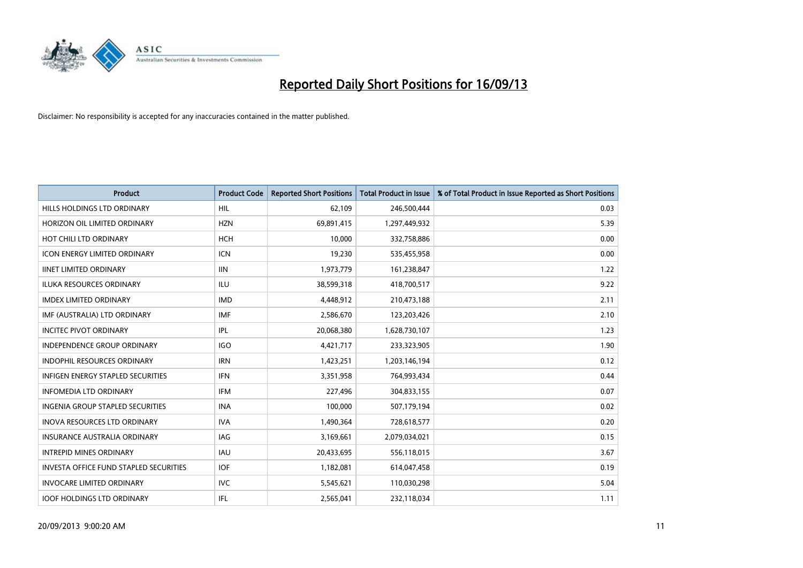

| <b>Product</b>                                | <b>Product Code</b> | <b>Reported Short Positions</b> | <b>Total Product in Issue</b> | % of Total Product in Issue Reported as Short Positions |
|-----------------------------------------------|---------------------|---------------------------------|-------------------------------|---------------------------------------------------------|
| HILLS HOLDINGS LTD ORDINARY                   | HIL                 | 62,109                          | 246,500,444                   | 0.03                                                    |
| HORIZON OIL LIMITED ORDINARY                  | <b>HZN</b>          | 69,891,415                      | 1,297,449,932                 | 5.39                                                    |
| HOT CHILI LTD ORDINARY                        | <b>HCH</b>          | 10,000                          | 332,758,886                   | 0.00                                                    |
| ICON ENERGY LIMITED ORDINARY                  | <b>ICN</b>          | 19,230                          | 535,455,958                   | 0.00                                                    |
| <b>IINET LIMITED ORDINARY</b>                 | <b>IIN</b>          | 1,973,779                       | 161,238,847                   | 1.22                                                    |
| <b>ILUKA RESOURCES ORDINARY</b>               | ILU                 | 38,599,318                      | 418,700,517                   | 9.22                                                    |
| <b>IMDEX LIMITED ORDINARY</b>                 | <b>IMD</b>          | 4,448,912                       | 210,473,188                   | 2.11                                                    |
| IMF (AUSTRALIA) LTD ORDINARY                  | <b>IMF</b>          | 2,586,670                       | 123,203,426                   | 2.10                                                    |
| <b>INCITEC PIVOT ORDINARY</b>                 | IPL                 | 20,068,380                      | 1,628,730,107                 | 1.23                                                    |
| <b>INDEPENDENCE GROUP ORDINARY</b>            | <b>IGO</b>          | 4,421,717                       | 233,323,905                   | 1.90                                                    |
| <b>INDOPHIL RESOURCES ORDINARY</b>            | <b>IRN</b>          | 1,423,251                       | 1,203,146,194                 | 0.12                                                    |
| <b>INFIGEN ENERGY STAPLED SECURITIES</b>      | <b>IFN</b>          | 3,351,958                       | 764,993,434                   | 0.44                                                    |
| <b>INFOMEDIA LTD ORDINARY</b>                 | <b>IFM</b>          | 227,496                         | 304,833,155                   | 0.07                                                    |
| <b>INGENIA GROUP STAPLED SECURITIES</b>       | <b>INA</b>          | 100,000                         | 507,179,194                   | 0.02                                                    |
| INOVA RESOURCES LTD ORDINARY                  | <b>IVA</b>          | 1,490,364                       | 728,618,577                   | 0.20                                                    |
| <b>INSURANCE AUSTRALIA ORDINARY</b>           | <b>IAG</b>          | 3,169,661                       | 2,079,034,021                 | 0.15                                                    |
| <b>INTREPID MINES ORDINARY</b>                | <b>IAU</b>          | 20,433,695                      | 556,118,015                   | 3.67                                                    |
| <b>INVESTA OFFICE FUND STAPLED SECURITIES</b> | <b>IOF</b>          | 1,182,081                       | 614,047,458                   | 0.19                                                    |
| <b>INVOCARE LIMITED ORDINARY</b>              | <b>IVC</b>          | 5,545,621                       | 110,030,298                   | 5.04                                                    |
| <b>IOOF HOLDINGS LTD ORDINARY</b>             | IFL                 | 2,565,041                       | 232,118,034                   | 1.11                                                    |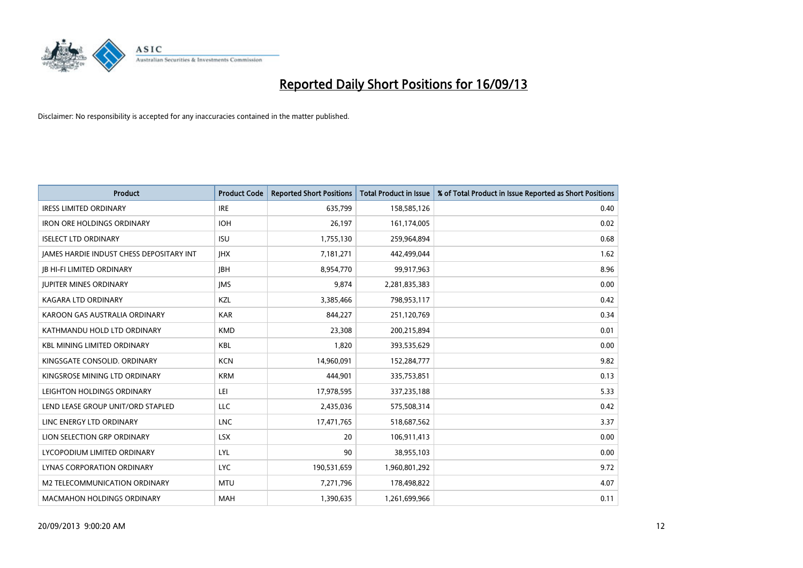

| Product                                         | <b>Product Code</b> | <b>Reported Short Positions</b> | <b>Total Product in Issue</b> | % of Total Product in Issue Reported as Short Positions |
|-------------------------------------------------|---------------------|---------------------------------|-------------------------------|---------------------------------------------------------|
| <b>IRESS LIMITED ORDINARY</b>                   | <b>IRE</b>          | 635,799                         | 158,585,126                   | 0.40                                                    |
| <b>IRON ORE HOLDINGS ORDINARY</b>               | <b>IOH</b>          | 26,197                          | 161,174,005                   | 0.02                                                    |
| <b>ISELECT LTD ORDINARY</b>                     | <b>ISU</b>          | 1,755,130                       | 259,964,894                   | 0.68                                                    |
| <b>IAMES HARDIE INDUST CHESS DEPOSITARY INT</b> | <b>IHX</b>          | 7,181,271                       | 442,499,044                   | 1.62                                                    |
| <b>IB HI-FI LIMITED ORDINARY</b>                | <b>IBH</b>          | 8,954,770                       | 99,917,963                    | 8.96                                                    |
| <b>JUPITER MINES ORDINARY</b>                   | <b>IMS</b>          | 9,874                           | 2,281,835,383                 | 0.00                                                    |
| <b>KAGARA LTD ORDINARY</b>                      | KZL                 | 3,385,466                       | 798,953,117                   | 0.42                                                    |
| KAROON GAS AUSTRALIA ORDINARY                   | <b>KAR</b>          | 844,227                         | 251,120,769                   | 0.34                                                    |
| KATHMANDU HOLD LTD ORDINARY                     | <b>KMD</b>          | 23,308                          | 200,215,894                   | 0.01                                                    |
| <b>KBL MINING LIMITED ORDINARY</b>              | <b>KBL</b>          | 1,820                           | 393,535,629                   | 0.00                                                    |
| KINGSGATE CONSOLID. ORDINARY                    | <b>KCN</b>          | 14,960,091                      | 152,284,777                   | 9.82                                                    |
| KINGSROSE MINING LTD ORDINARY                   | <b>KRM</b>          | 444,901                         | 335,753,851                   | 0.13                                                    |
| LEIGHTON HOLDINGS ORDINARY                      | LEI                 | 17,978,595                      | 337,235,188                   | 5.33                                                    |
| LEND LEASE GROUP UNIT/ORD STAPLED               | <b>LLC</b>          | 2,435,036                       | 575,508,314                   | 0.42                                                    |
| LINC ENERGY LTD ORDINARY                        | <b>LNC</b>          | 17,471,765                      | 518,687,562                   | 3.37                                                    |
| LION SELECTION GRP ORDINARY                     | <b>LSX</b>          | 20                              | 106,911,413                   | 0.00                                                    |
| LYCOPODIUM LIMITED ORDINARY                     | LYL                 | 90                              | 38,955,103                    | 0.00                                                    |
| LYNAS CORPORATION ORDINARY                      | <b>LYC</b>          | 190,531,659                     | 1,960,801,292                 | 9.72                                                    |
| M2 TELECOMMUNICATION ORDINARY                   | <b>MTU</b>          | 7,271,796                       | 178,498,822                   | 4.07                                                    |
| MACMAHON HOLDINGS ORDINARY                      | <b>MAH</b>          | 1,390,635                       | 1,261,699,966                 | 0.11                                                    |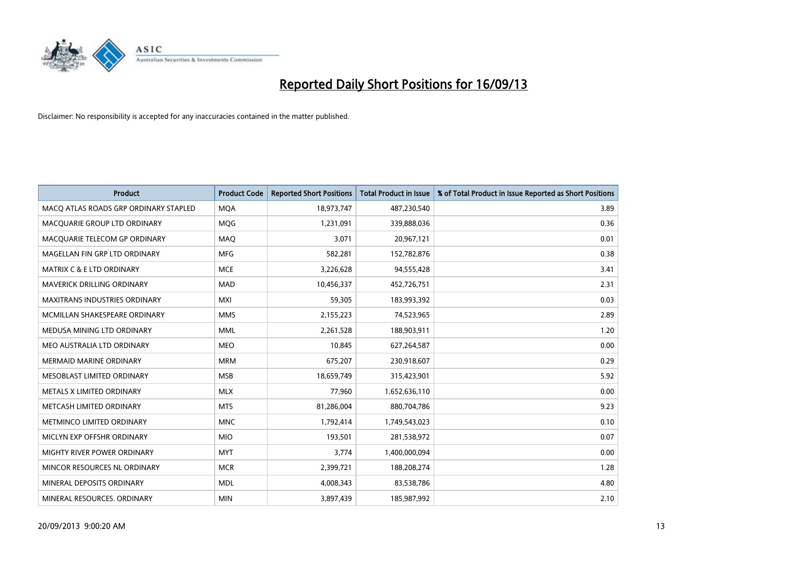

| <b>Product</b>                        | <b>Product Code</b> | <b>Reported Short Positions</b> | <b>Total Product in Issue</b> | % of Total Product in Issue Reported as Short Positions |
|---------------------------------------|---------------------|---------------------------------|-------------------------------|---------------------------------------------------------|
| MACO ATLAS ROADS GRP ORDINARY STAPLED | <b>MQA</b>          | 18,973,747                      | 487,230,540                   | 3.89                                                    |
| MACQUARIE GROUP LTD ORDINARY          | <b>MQG</b>          | 1,231,091                       | 339,888,036                   | 0.36                                                    |
| MACQUARIE TELECOM GP ORDINARY         | MAQ                 | 3,071                           | 20,967,121                    | 0.01                                                    |
| MAGELLAN FIN GRP LTD ORDINARY         | <b>MFG</b>          | 582,281                         | 152,782,876                   | 0.38                                                    |
| <b>MATRIX C &amp; E LTD ORDINARY</b>  | <b>MCE</b>          | 3,226,628                       | 94,555,428                    | 3.41                                                    |
| MAVERICK DRILLING ORDINARY            | <b>MAD</b>          | 10,456,337                      | 452,726,751                   | 2.31                                                    |
| MAXITRANS INDUSTRIES ORDINARY         | <b>MXI</b>          | 59,305                          | 183,993,392                   | 0.03                                                    |
| MCMILLAN SHAKESPEARE ORDINARY         | <b>MMS</b>          | 2,155,223                       | 74,523,965                    | 2.89                                                    |
| MEDUSA MINING LTD ORDINARY            | <b>MML</b>          | 2,261,528                       | 188,903,911                   | 1.20                                                    |
| MEO AUSTRALIA LTD ORDINARY            | <b>MEO</b>          | 10,845                          | 627,264,587                   | 0.00                                                    |
| <b>MERMAID MARINE ORDINARY</b>        | <b>MRM</b>          | 675,207                         | 230,918,607                   | 0.29                                                    |
| MESOBLAST LIMITED ORDINARY            | <b>MSB</b>          | 18,659,749                      | 315,423,901                   | 5.92                                                    |
| METALS X LIMITED ORDINARY             | <b>MLX</b>          | 77,960                          | 1,652,636,110                 | 0.00                                                    |
| METCASH LIMITED ORDINARY              | <b>MTS</b>          | 81,286,004                      | 880,704,786                   | 9.23                                                    |
| METMINCO LIMITED ORDINARY             | <b>MNC</b>          | 1,792,414                       | 1,749,543,023                 | 0.10                                                    |
| MICLYN EXP OFFSHR ORDINARY            | <b>MIO</b>          | 193,501                         | 281,538,972                   | 0.07                                                    |
| MIGHTY RIVER POWER ORDINARY           | <b>MYT</b>          | 3,774                           | 1,400,000,094                 | 0.00                                                    |
| MINCOR RESOURCES NL ORDINARY          | <b>MCR</b>          | 2,399,721                       | 188,208,274                   | 1.28                                                    |
| MINERAL DEPOSITS ORDINARY             | <b>MDL</b>          | 4,008,343                       | 83,538,786                    | 4.80                                                    |
| MINERAL RESOURCES, ORDINARY           | <b>MIN</b>          | 3,897,439                       | 185,987,992                   | 2.10                                                    |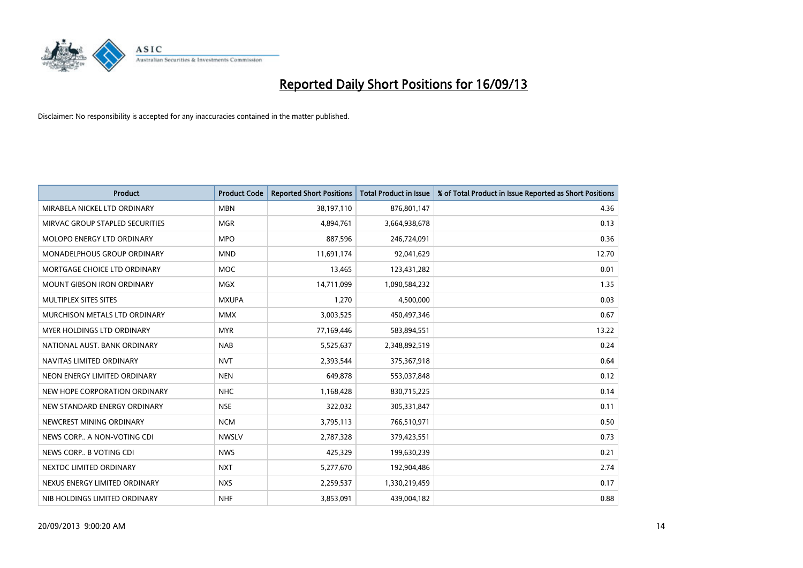

| <b>Product</b>                     | <b>Product Code</b> | <b>Reported Short Positions</b> | <b>Total Product in Issue</b> | % of Total Product in Issue Reported as Short Positions |
|------------------------------------|---------------------|---------------------------------|-------------------------------|---------------------------------------------------------|
| MIRABELA NICKEL LTD ORDINARY       | <b>MBN</b>          | 38,197,110                      | 876,801,147                   | 4.36                                                    |
| MIRVAC GROUP STAPLED SECURITIES    | <b>MGR</b>          | 4,894,761                       | 3,664,938,678                 | 0.13                                                    |
| MOLOPO ENERGY LTD ORDINARY         | <b>MPO</b>          | 887,596                         | 246,724,091                   | 0.36                                                    |
| <b>MONADELPHOUS GROUP ORDINARY</b> | <b>MND</b>          | 11,691,174                      | 92,041,629                    | 12.70                                                   |
| MORTGAGE CHOICE LTD ORDINARY       | MOC                 | 13,465                          | 123,431,282                   | 0.01                                                    |
| <b>MOUNT GIBSON IRON ORDINARY</b>  | <b>MGX</b>          | 14,711,099                      | 1,090,584,232                 | 1.35                                                    |
| MULTIPLEX SITES SITES              | <b>MXUPA</b>        | 1,270                           | 4,500,000                     | 0.03                                                    |
| MURCHISON METALS LTD ORDINARY      | <b>MMX</b>          | 3,003,525                       | 450,497,346                   | 0.67                                                    |
| <b>MYER HOLDINGS LTD ORDINARY</b>  | <b>MYR</b>          | 77,169,446                      | 583,894,551                   | 13.22                                                   |
| NATIONAL AUST, BANK ORDINARY       | <b>NAB</b>          | 5,525,637                       | 2,348,892,519                 | 0.24                                                    |
| NAVITAS LIMITED ORDINARY           | <b>NVT</b>          | 2,393,544                       | 375,367,918                   | 0.64                                                    |
| NEON ENERGY LIMITED ORDINARY       | <b>NEN</b>          | 649,878                         | 553,037,848                   | 0.12                                                    |
| NEW HOPE CORPORATION ORDINARY      | <b>NHC</b>          | 1,168,428                       | 830,715,225                   | 0.14                                                    |
| NEW STANDARD ENERGY ORDINARY       | <b>NSE</b>          | 322,032                         | 305,331,847                   | 0.11                                                    |
| NEWCREST MINING ORDINARY           | <b>NCM</b>          | 3,795,113                       | 766,510,971                   | 0.50                                                    |
| NEWS CORP A NON-VOTING CDI         | <b>NWSLV</b>        | 2,787,328                       | 379,423,551                   | 0.73                                                    |
| NEWS CORP B VOTING CDI             | <b>NWS</b>          | 425,329                         | 199,630,239                   | 0.21                                                    |
| NEXTDC LIMITED ORDINARY            | <b>NXT</b>          | 5,277,670                       | 192,904,486                   | 2.74                                                    |
| NEXUS ENERGY LIMITED ORDINARY      | <b>NXS</b>          | 2,259,537                       | 1,330,219,459                 | 0.17                                                    |
| NIB HOLDINGS LIMITED ORDINARY      | <b>NHF</b>          | 3,853,091                       | 439,004,182                   | 0.88                                                    |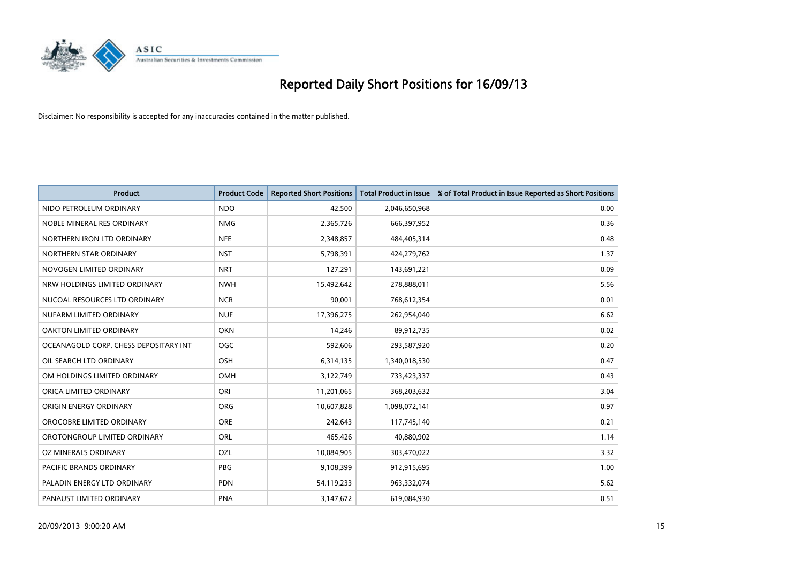

| <b>Product</b>                        | <b>Product Code</b> | <b>Reported Short Positions</b> | <b>Total Product in Issue</b> | % of Total Product in Issue Reported as Short Positions |
|---------------------------------------|---------------------|---------------------------------|-------------------------------|---------------------------------------------------------|
| NIDO PETROLEUM ORDINARY               | <b>NDO</b>          | 42,500                          | 2,046,650,968                 | 0.00                                                    |
| NOBLE MINERAL RES ORDINARY            | <b>NMG</b>          | 2,365,726                       | 666,397,952                   | 0.36                                                    |
| NORTHERN IRON LTD ORDINARY            | <b>NFE</b>          | 2,348,857                       | 484,405,314                   | 0.48                                                    |
| NORTHERN STAR ORDINARY                | <b>NST</b>          | 5,798,391                       | 424,279,762                   | 1.37                                                    |
| NOVOGEN LIMITED ORDINARY              | <b>NRT</b>          | 127,291                         | 143,691,221                   | 0.09                                                    |
| NRW HOLDINGS LIMITED ORDINARY         | <b>NWH</b>          | 15,492,642                      | 278,888,011                   | 5.56                                                    |
| NUCOAL RESOURCES LTD ORDINARY         | <b>NCR</b>          | 90,001                          | 768,612,354                   | 0.01                                                    |
| NUFARM LIMITED ORDINARY               | <b>NUF</b>          | 17,396,275                      | 262,954,040                   | 6.62                                                    |
| OAKTON LIMITED ORDINARY               | <b>OKN</b>          | 14,246                          | 89,912,735                    | 0.02                                                    |
| OCEANAGOLD CORP. CHESS DEPOSITARY INT | <b>OGC</b>          | 592,606                         | 293,587,920                   | 0.20                                                    |
| OIL SEARCH LTD ORDINARY               | OSH                 | 6,314,135                       | 1,340,018,530                 | 0.47                                                    |
| OM HOLDINGS LIMITED ORDINARY          | OMH                 | 3,122,749                       | 733,423,337                   | 0.43                                                    |
| ORICA LIMITED ORDINARY                | ORI                 | 11,201,065                      | 368,203,632                   | 3.04                                                    |
| ORIGIN ENERGY ORDINARY                | <b>ORG</b>          | 10,607,828                      | 1,098,072,141                 | 0.97                                                    |
| OROCOBRE LIMITED ORDINARY             | <b>ORE</b>          | 242,643                         | 117,745,140                   | 0.21                                                    |
| OROTONGROUP LIMITED ORDINARY          | ORL                 | 465,426                         | 40,880,902                    | 1.14                                                    |
| OZ MINERALS ORDINARY                  | OZL                 | 10,084,905                      | 303,470,022                   | 3.32                                                    |
| <b>PACIFIC BRANDS ORDINARY</b>        | <b>PBG</b>          | 9,108,399                       | 912,915,695                   | 1.00                                                    |
| PALADIN ENERGY LTD ORDINARY           | <b>PDN</b>          | 54,119,233                      | 963,332,074                   | 5.62                                                    |
| PANAUST LIMITED ORDINARY              | <b>PNA</b>          | 3,147,672                       | 619,084,930                   | 0.51                                                    |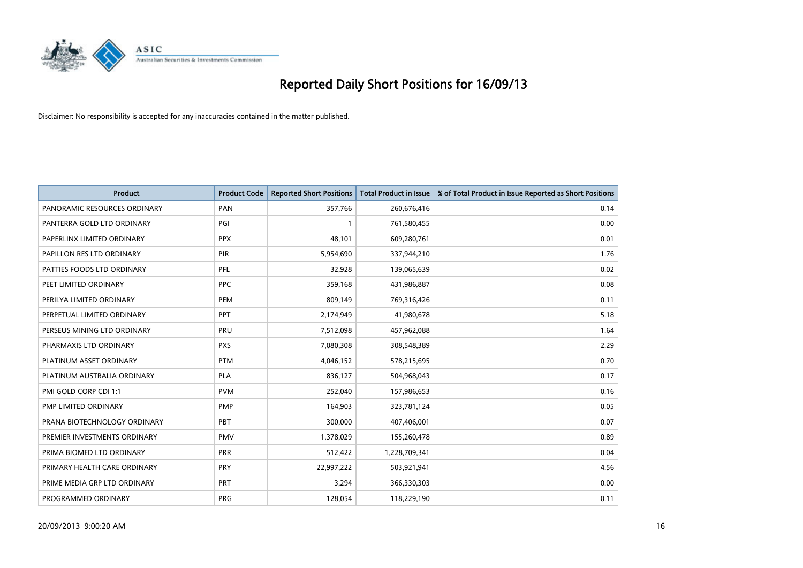

| <b>Product</b>               | <b>Product Code</b> | <b>Reported Short Positions</b> | <b>Total Product in Issue</b> | % of Total Product in Issue Reported as Short Positions |
|------------------------------|---------------------|---------------------------------|-------------------------------|---------------------------------------------------------|
| PANORAMIC RESOURCES ORDINARY | PAN                 | 357,766                         | 260,676,416                   | 0.14                                                    |
| PANTERRA GOLD LTD ORDINARY   | PGI                 |                                 | 761,580,455                   | 0.00                                                    |
| PAPERLINX LIMITED ORDINARY   | <b>PPX</b>          | 48.101                          | 609,280,761                   | 0.01                                                    |
| PAPILLON RES LTD ORDINARY    | <b>PIR</b>          | 5,954,690                       | 337,944,210                   | 1.76                                                    |
| PATTIES FOODS LTD ORDINARY   | PFL                 | 32,928                          | 139,065,639                   | 0.02                                                    |
| PEET LIMITED ORDINARY        | <b>PPC</b>          | 359,168                         | 431,986,887                   | 0.08                                                    |
| PERILYA LIMITED ORDINARY     | <b>PEM</b>          | 809,149                         | 769,316,426                   | 0.11                                                    |
| PERPETUAL LIMITED ORDINARY   | PPT                 | 2,174,949                       | 41,980,678                    | 5.18                                                    |
| PERSEUS MINING LTD ORDINARY  | PRU                 | 7,512,098                       | 457,962,088                   | 1.64                                                    |
| PHARMAXIS LTD ORDINARY       | <b>PXS</b>          | 7,080,308                       | 308,548,389                   | 2.29                                                    |
| PLATINUM ASSET ORDINARY      | <b>PTM</b>          | 4,046,152                       | 578,215,695                   | 0.70                                                    |
| PLATINUM AUSTRALIA ORDINARY  | <b>PLA</b>          | 836,127                         | 504,968,043                   | 0.17                                                    |
| PMI GOLD CORP CDI 1:1        | <b>PVM</b>          | 252,040                         | 157,986,653                   | 0.16                                                    |
| PMP LIMITED ORDINARY         | <b>PMP</b>          | 164,903                         | 323,781,124                   | 0.05                                                    |
| PRANA BIOTECHNOLOGY ORDINARY | <b>PBT</b>          | 300,000                         | 407,406,001                   | 0.07                                                    |
| PREMIER INVESTMENTS ORDINARY | <b>PMV</b>          | 1,378,029                       | 155,260,478                   | 0.89                                                    |
| PRIMA BIOMED LTD ORDINARY    | <b>PRR</b>          | 512,422                         | 1,228,709,341                 | 0.04                                                    |
| PRIMARY HEALTH CARE ORDINARY | PRY                 | 22,997,222                      | 503,921,941                   | 4.56                                                    |
| PRIME MEDIA GRP LTD ORDINARY | <b>PRT</b>          | 3,294                           | 366,330,303                   | 0.00                                                    |
| PROGRAMMED ORDINARY          | <b>PRG</b>          | 128,054                         | 118,229,190                   | 0.11                                                    |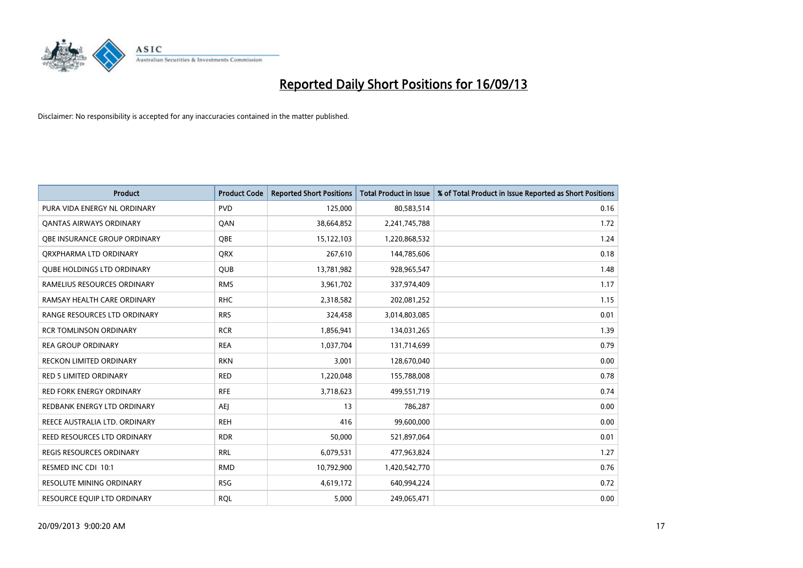

| <b>Product</b>                      | <b>Product Code</b> | <b>Reported Short Positions</b> | <b>Total Product in Issue</b> | % of Total Product in Issue Reported as Short Positions |
|-------------------------------------|---------------------|---------------------------------|-------------------------------|---------------------------------------------------------|
| PURA VIDA ENERGY NL ORDINARY        | <b>PVD</b>          | 125,000                         | 80,583,514                    | 0.16                                                    |
| <b>QANTAS AIRWAYS ORDINARY</b>      | QAN                 | 38,664,852                      | 2,241,745,788                 | 1.72                                                    |
| <b>OBE INSURANCE GROUP ORDINARY</b> | OBE                 | 15,122,103                      | 1,220,868,532                 | 1.24                                                    |
| ORXPHARMA LTD ORDINARY              | <b>ORX</b>          | 267,610                         | 144,785,606                   | 0.18                                                    |
| <b>QUBE HOLDINGS LTD ORDINARY</b>   | <b>QUB</b>          | 13,781,982                      | 928,965,547                   | 1.48                                                    |
| RAMELIUS RESOURCES ORDINARY         | <b>RMS</b>          | 3,961,702                       | 337,974,409                   | 1.17                                                    |
| RAMSAY HEALTH CARE ORDINARY         | <b>RHC</b>          | 2,318,582                       | 202,081,252                   | 1.15                                                    |
| RANGE RESOURCES LTD ORDINARY        | <b>RRS</b>          | 324,458                         | 3,014,803,085                 | 0.01                                                    |
| <b>RCR TOMLINSON ORDINARY</b>       | <b>RCR</b>          | 1,856,941                       | 134,031,265                   | 1.39                                                    |
| <b>REA GROUP ORDINARY</b>           | <b>REA</b>          | 1,037,704                       | 131,714,699                   | 0.79                                                    |
| RECKON LIMITED ORDINARY             | <b>RKN</b>          | 3,001                           | 128,670,040                   | 0.00                                                    |
| RED 5 LIMITED ORDINARY              | <b>RED</b>          | 1,220,048                       | 155,788,008                   | 0.78                                                    |
| <b>RED FORK ENERGY ORDINARY</b>     | <b>RFE</b>          | 3,718,623                       | 499,551,719                   | 0.74                                                    |
| REDBANK ENERGY LTD ORDINARY         | AEJ                 | 13                              | 786,287                       | 0.00                                                    |
| REECE AUSTRALIA LTD. ORDINARY       | <b>REH</b>          | 416                             | 99,600,000                    | 0.00                                                    |
| REED RESOURCES LTD ORDINARY         | <b>RDR</b>          | 50,000                          | 521,897,064                   | 0.01                                                    |
| REGIS RESOURCES ORDINARY            | <b>RRL</b>          | 6,079,531                       | 477,963,824                   | 1.27                                                    |
| RESMED INC CDI 10:1                 | <b>RMD</b>          | 10,792,900                      | 1,420,542,770                 | 0.76                                                    |
| <b>RESOLUTE MINING ORDINARY</b>     | <b>RSG</b>          | 4,619,172                       | 640,994,224                   | 0.72                                                    |
| RESOURCE EQUIP LTD ORDINARY         | <b>RQL</b>          | 5,000                           | 249,065,471                   | 0.00                                                    |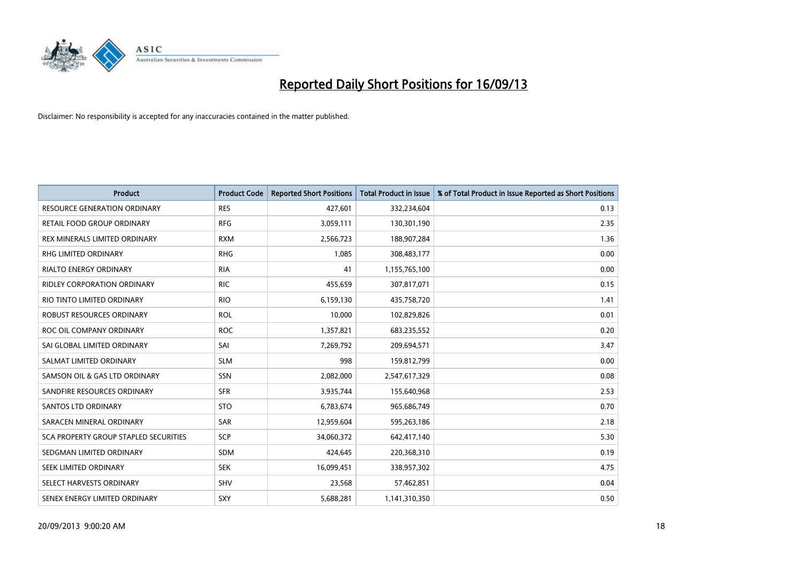

| <b>Product</b>                        | <b>Product Code</b> | <b>Reported Short Positions</b> | <b>Total Product in Issue</b> | % of Total Product in Issue Reported as Short Positions |
|---------------------------------------|---------------------|---------------------------------|-------------------------------|---------------------------------------------------------|
| <b>RESOURCE GENERATION ORDINARY</b>   | <b>RES</b>          | 427,601                         | 332,234,604                   | 0.13                                                    |
| RETAIL FOOD GROUP ORDINARY            | <b>RFG</b>          | 3,059,111                       | 130,301,190                   | 2.35                                                    |
| REX MINERALS LIMITED ORDINARY         | <b>RXM</b>          | 2,566,723                       | 188,907,284                   | 1.36                                                    |
| RHG LIMITED ORDINARY                  | <b>RHG</b>          | 1,085                           | 308,483,177                   | 0.00                                                    |
| <b>RIALTO ENERGY ORDINARY</b>         | <b>RIA</b>          | 41                              | 1,155,765,100                 | 0.00                                                    |
| <b>RIDLEY CORPORATION ORDINARY</b>    | <b>RIC</b>          | 455,659                         | 307,817,071                   | 0.15                                                    |
| RIO TINTO LIMITED ORDINARY            | <b>RIO</b>          | 6,159,130                       | 435,758,720                   | 1.41                                                    |
| <b>ROBUST RESOURCES ORDINARY</b>      | <b>ROL</b>          | 10,000                          | 102,829,826                   | 0.01                                                    |
| ROC OIL COMPANY ORDINARY              | <b>ROC</b>          | 1,357,821                       | 683,235,552                   | 0.20                                                    |
| SAI GLOBAL LIMITED ORDINARY           | SAI                 | 7,269,792                       | 209,694,571                   | 3.47                                                    |
| SALMAT LIMITED ORDINARY               | <b>SLM</b>          | 998                             | 159,812,799                   | 0.00                                                    |
| SAMSON OIL & GAS LTD ORDINARY         | SSN                 | 2,082,000                       | 2,547,617,329                 | 0.08                                                    |
| SANDFIRE RESOURCES ORDINARY           | <b>SFR</b>          | 3,935,744                       | 155,640,968                   | 2.53                                                    |
| <b>SANTOS LTD ORDINARY</b>            | <b>STO</b>          | 6,783,674                       | 965,686,749                   | 0.70                                                    |
| SARACEN MINERAL ORDINARY              | <b>SAR</b>          | 12,959,604                      | 595,263,186                   | 2.18                                                    |
| SCA PROPERTY GROUP STAPLED SECURITIES | SCP                 | 34,060,372                      | 642,417,140                   | 5.30                                                    |
| SEDGMAN LIMITED ORDINARY              | <b>SDM</b>          | 424,645                         | 220,368,310                   | 0.19                                                    |
| SEEK LIMITED ORDINARY                 | <b>SEK</b>          | 16,099,451                      | 338,957,302                   | 4.75                                                    |
| SELECT HARVESTS ORDINARY              | SHV                 | 23,568                          | 57,462,851                    | 0.04                                                    |
| SENEX ENERGY LIMITED ORDINARY         | <b>SXY</b>          | 5,688,281                       | 1,141,310,350                 | 0.50                                                    |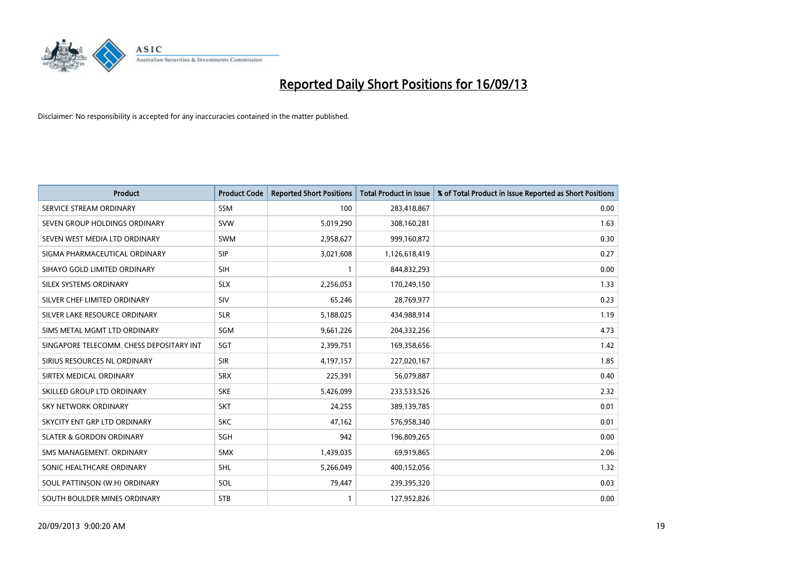

| <b>Product</b>                           | <b>Product Code</b> | <b>Reported Short Positions</b> | <b>Total Product in Issue</b> | % of Total Product in Issue Reported as Short Positions |
|------------------------------------------|---------------------|---------------------------------|-------------------------------|---------------------------------------------------------|
| SERVICE STREAM ORDINARY                  | <b>SSM</b>          | 100                             | 283,418,867                   | 0.00                                                    |
| SEVEN GROUP HOLDINGS ORDINARY            | <b>SVW</b>          | 5,019,290                       | 308,160,281                   | 1.63                                                    |
| SEVEN WEST MEDIA LTD ORDINARY            | <b>SWM</b>          | 2,958,627                       | 999,160,872                   | 0.30                                                    |
| SIGMA PHARMACEUTICAL ORDINARY            | <b>SIP</b>          | 3,021,608                       | 1,126,618,419                 | 0.27                                                    |
| SIHAYO GOLD LIMITED ORDINARY             | <b>SIH</b>          | $\mathbf{1}$                    | 844,832,293                   | 0.00                                                    |
| SILEX SYSTEMS ORDINARY                   | <b>SLX</b>          | 2,256,053                       | 170,249,150                   | 1.33                                                    |
| SILVER CHEF LIMITED ORDINARY             | <b>SIV</b>          | 65,246                          | 28,769,977                    | 0.23                                                    |
| SILVER LAKE RESOURCE ORDINARY            | <b>SLR</b>          | 5,188,025                       | 434,988,914                   | 1.19                                                    |
| SIMS METAL MGMT LTD ORDINARY             | SGM                 | 9,661,226                       | 204,332,256                   | 4.73                                                    |
| SINGAPORE TELECOMM. CHESS DEPOSITARY INT | SGT                 | 2,399,751                       | 169,358,656                   | 1.42                                                    |
| SIRIUS RESOURCES NL ORDINARY             | <b>SIR</b>          | 4,197,157                       | 227,020,167                   | 1.85                                                    |
| SIRTEX MEDICAL ORDINARY                  | <b>SRX</b>          | 225,391                         | 56,079,887                    | 0.40                                                    |
| SKILLED GROUP LTD ORDINARY               | <b>SKE</b>          | 5,426,099                       | 233,533,526                   | 2.32                                                    |
| <b>SKY NETWORK ORDINARY</b>              | <b>SKT</b>          | 24,255                          | 389,139,785                   | 0.01                                                    |
| SKYCITY ENT GRP LTD ORDINARY             | <b>SKC</b>          | 47,162                          | 576,958,340                   | 0.01                                                    |
| <b>SLATER &amp; GORDON ORDINARY</b>      | SGH                 | 942                             | 196,809,265                   | 0.00                                                    |
| SMS MANAGEMENT, ORDINARY                 | SMX                 | 1,439,035                       | 69,919,865                    | 2.06                                                    |
| SONIC HEALTHCARE ORDINARY                | SHL                 | 5,266,049                       | 400,152,056                   | 1.32                                                    |
| SOUL PATTINSON (W.H) ORDINARY            | SOL                 | 79,447                          | 239,395,320                   | 0.03                                                    |
| SOUTH BOULDER MINES ORDINARY             | <b>STB</b>          |                                 | 127,952,826                   | 0.00                                                    |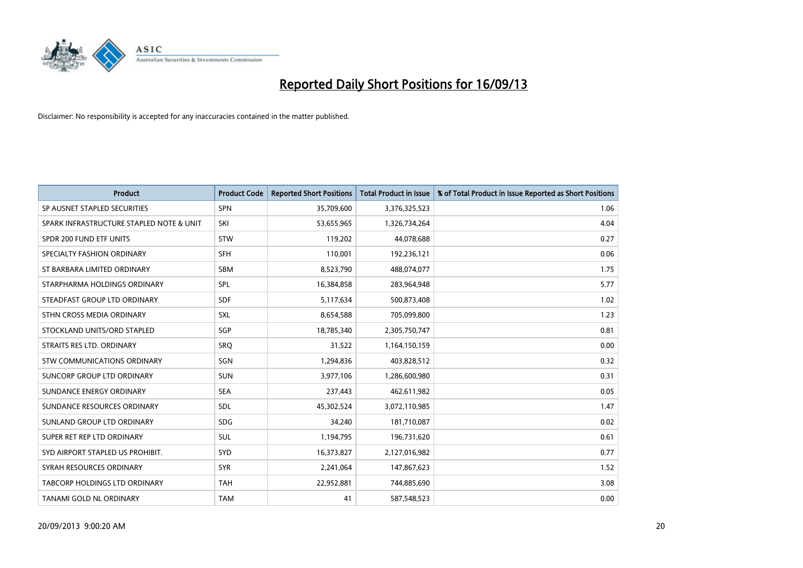

| <b>Product</b>                           | <b>Product Code</b> | <b>Reported Short Positions</b> | <b>Total Product in Issue</b> | % of Total Product in Issue Reported as Short Positions |
|------------------------------------------|---------------------|---------------------------------|-------------------------------|---------------------------------------------------------|
| SP AUSNET STAPLED SECURITIES             | SPN                 | 35,709,600                      | 3,376,325,523                 | 1.06                                                    |
| SPARK INFRASTRUCTURE STAPLED NOTE & UNIT | SKI                 | 53,655,965                      | 1,326,734,264                 | 4.04                                                    |
| SPDR 200 FUND ETF UNITS                  | <b>STW</b>          | 119,202                         | 44,078,688                    | 0.27                                                    |
| SPECIALTY FASHION ORDINARY               | <b>SFH</b>          | 110,001                         | 192,236,121                   | 0.06                                                    |
| ST BARBARA LIMITED ORDINARY              | <b>SBM</b>          | 8,523,790                       | 488,074,077                   | 1.75                                                    |
| STARPHARMA HOLDINGS ORDINARY             | SPL                 | 16,384,858                      | 283,964,948                   | 5.77                                                    |
| STEADFAST GROUP LTD ORDINARY             | <b>SDF</b>          | 5,117,634                       | 500,873,408                   | 1.02                                                    |
| STHN CROSS MEDIA ORDINARY                | <b>SXL</b>          | 8,654,588                       | 705,099,800                   | 1.23                                                    |
| STOCKLAND UNITS/ORD STAPLED              | SGP                 | 18,785,340                      | 2,305,750,747                 | 0.81                                                    |
| STRAITS RES LTD. ORDINARY                | SRO                 | 31,522                          | 1,164,150,159                 | 0.00                                                    |
| <b>STW COMMUNICATIONS ORDINARY</b>       | SGN                 | 1,294,836                       | 403,828,512                   | 0.32                                                    |
| SUNCORP GROUP LTD ORDINARY               | <b>SUN</b>          | 3,977,106                       | 1,286,600,980                 | 0.31                                                    |
| SUNDANCE ENERGY ORDINARY                 | <b>SEA</b>          | 237,443                         | 462,611,982                   | 0.05                                                    |
| SUNDANCE RESOURCES ORDINARY              | <b>SDL</b>          | 45,302,524                      | 3,072,110,985                 | 1.47                                                    |
| SUNLAND GROUP LTD ORDINARY               | <b>SDG</b>          | 34,240                          | 181,710,087                   | 0.02                                                    |
| SUPER RET REP LTD ORDINARY               | SUL                 | 1,194,795                       | 196,731,620                   | 0.61                                                    |
| SYD AIRPORT STAPLED US PROHIBIT.         | <b>SYD</b>          | 16,373,827                      | 2,127,016,982                 | 0.77                                                    |
| SYRAH RESOURCES ORDINARY                 | <b>SYR</b>          | 2,241,064                       | 147,867,623                   | 1.52                                                    |
| TABCORP HOLDINGS LTD ORDINARY            | <b>TAH</b>          | 22,952,881                      | 744,885,690                   | 3.08                                                    |
| TANAMI GOLD NL ORDINARY                  | <b>TAM</b>          | 41                              | 587,548,523                   | 0.00                                                    |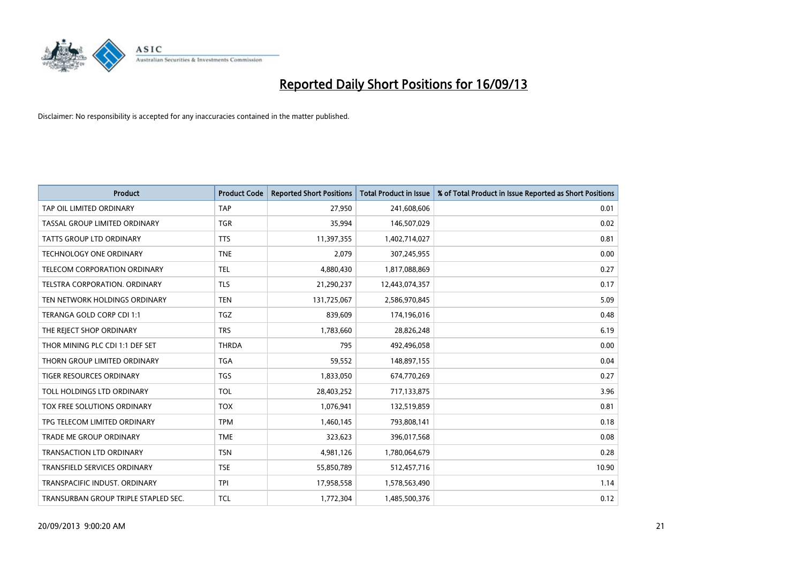

| <b>Product</b>                       | <b>Product Code</b> | <b>Reported Short Positions</b> | <b>Total Product in Issue</b> | % of Total Product in Issue Reported as Short Positions |
|--------------------------------------|---------------------|---------------------------------|-------------------------------|---------------------------------------------------------|
| TAP OIL LIMITED ORDINARY             | <b>TAP</b>          | 27,950                          | 241,608,606                   | 0.01                                                    |
| TASSAL GROUP LIMITED ORDINARY        | <b>TGR</b>          | 35,994                          | 146,507,029                   | 0.02                                                    |
| <b>TATTS GROUP LTD ORDINARY</b>      | <b>TTS</b>          | 11,397,355                      | 1,402,714,027                 | 0.81                                                    |
| TECHNOLOGY ONE ORDINARY              | <b>TNE</b>          | 2,079                           | 307,245,955                   | 0.00                                                    |
| TELECOM CORPORATION ORDINARY         | <b>TEL</b>          | 4,880,430                       | 1,817,088,869                 | 0.27                                                    |
| TELSTRA CORPORATION, ORDINARY        | <b>TLS</b>          | 21,290,237                      | 12,443,074,357                | 0.17                                                    |
| TEN NETWORK HOLDINGS ORDINARY        | <b>TEN</b>          | 131,725,067                     | 2,586,970,845                 | 5.09                                                    |
| TERANGA GOLD CORP CDI 1:1            | <b>TGZ</b>          | 839,609                         | 174,196,016                   | 0.48                                                    |
| THE REJECT SHOP ORDINARY             | <b>TRS</b>          | 1,783,660                       | 28,826,248                    | 6.19                                                    |
| THOR MINING PLC CDI 1:1 DEF SET      | <b>THRDA</b>        | 795                             | 492,496,058                   | 0.00                                                    |
| THORN GROUP LIMITED ORDINARY         | <b>TGA</b>          | 59,552                          | 148,897,155                   | 0.04                                                    |
| TIGER RESOURCES ORDINARY             | TGS                 | 1,833,050                       | 674,770,269                   | 0.27                                                    |
| TOLL HOLDINGS LTD ORDINARY           | <b>TOL</b>          | 28,403,252                      | 717,133,875                   | 3.96                                                    |
| <b>TOX FREE SOLUTIONS ORDINARY</b>   | <b>TOX</b>          | 1,076,941                       | 132,519,859                   | 0.81                                                    |
| TPG TELECOM LIMITED ORDINARY         | <b>TPM</b>          | 1,460,145                       | 793,808,141                   | 0.18                                                    |
| <b>TRADE ME GROUP ORDINARY</b>       | <b>TME</b>          | 323,623                         | 396,017,568                   | 0.08                                                    |
| <b>TRANSACTION LTD ORDINARY</b>      | <b>TSN</b>          | 4,981,126                       | 1,780,064,679                 | 0.28                                                    |
| TRANSFIELD SERVICES ORDINARY         | <b>TSE</b>          | 55,850,789                      | 512,457,716                   | 10.90                                                   |
| TRANSPACIFIC INDUST, ORDINARY        | <b>TPI</b>          | 17,958,558                      | 1,578,563,490                 | 1.14                                                    |
| TRANSURBAN GROUP TRIPLE STAPLED SEC. | <b>TCL</b>          | 1,772,304                       | 1,485,500,376                 | 0.12                                                    |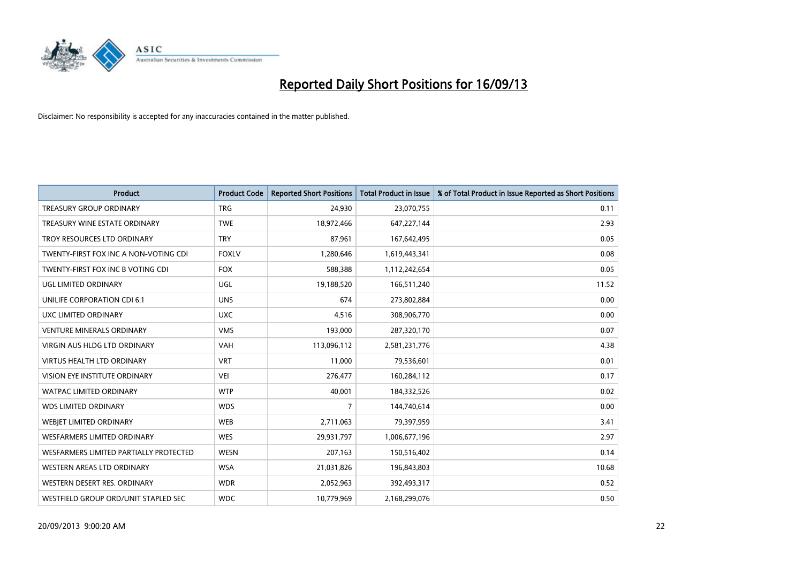

| <b>Product</b>                         | <b>Product Code</b> | <b>Reported Short Positions</b> | <b>Total Product in Issue</b> | % of Total Product in Issue Reported as Short Positions |
|----------------------------------------|---------------------|---------------------------------|-------------------------------|---------------------------------------------------------|
| <b>TREASURY GROUP ORDINARY</b>         | <b>TRG</b>          | 24,930                          | 23,070,755                    | 0.11                                                    |
| TREASURY WINE ESTATE ORDINARY          | <b>TWE</b>          | 18,972,466                      | 647,227,144                   | 2.93                                                    |
| TROY RESOURCES LTD ORDINARY            | <b>TRY</b>          | 87,961                          | 167,642,495                   | 0.05                                                    |
| TWENTY-FIRST FOX INC A NON-VOTING CDI  | <b>FOXLV</b>        | 1,280,646                       | 1,619,443,341                 | 0.08                                                    |
| TWENTY-FIRST FOX INC B VOTING CDI      | <b>FOX</b>          | 588,388                         | 1,112,242,654                 | 0.05                                                    |
| <b>UGL LIMITED ORDINARY</b>            | UGL                 | 19,188,520                      | 166,511,240                   | 11.52                                                   |
| UNILIFE CORPORATION CDI 6:1            | <b>UNS</b>          | 674                             | 273,802,884                   | 0.00                                                    |
| UXC LIMITED ORDINARY                   | <b>UXC</b>          | 4,516                           | 308,906,770                   | 0.00                                                    |
| <b>VENTURE MINERALS ORDINARY</b>       | <b>VMS</b>          | 193,000                         | 287,320,170                   | 0.07                                                    |
| VIRGIN AUS HLDG LTD ORDINARY           | <b>VAH</b>          | 113,096,112                     | 2,581,231,776                 | 4.38                                                    |
| VIRTUS HEALTH LTD ORDINARY             | <b>VRT</b>          | 11,000                          | 79,536,601                    | 0.01                                                    |
| <b>VISION EYE INSTITUTE ORDINARY</b>   | <b>VEI</b>          | 276,477                         | 160,284,112                   | 0.17                                                    |
| WATPAC LIMITED ORDINARY                | <b>WTP</b>          | 40,001                          | 184,332,526                   | 0.02                                                    |
| <b>WDS LIMITED ORDINARY</b>            | <b>WDS</b>          | 7                               | 144,740,614                   | 0.00                                                    |
| WEBJET LIMITED ORDINARY                | <b>WEB</b>          | 2,711,063                       | 79,397,959                    | 3.41                                                    |
| <b>WESFARMERS LIMITED ORDINARY</b>     | <b>WES</b>          | 29,931,797                      | 1,006,677,196                 | 2.97                                                    |
| WESFARMERS LIMITED PARTIALLY PROTECTED | <b>WESN</b>         | 207,163                         | 150,516,402                   | 0.14                                                    |
| WESTERN AREAS LTD ORDINARY             | <b>WSA</b>          | 21,031,826                      | 196,843,803                   | 10.68                                                   |
| WESTERN DESERT RES. ORDINARY           | <b>WDR</b>          | 2,052,963                       | 392,493,317                   | 0.52                                                    |
| WESTFIELD GROUP ORD/UNIT STAPLED SEC   | <b>WDC</b>          | 10,779,969                      | 2,168,299,076                 | 0.50                                                    |